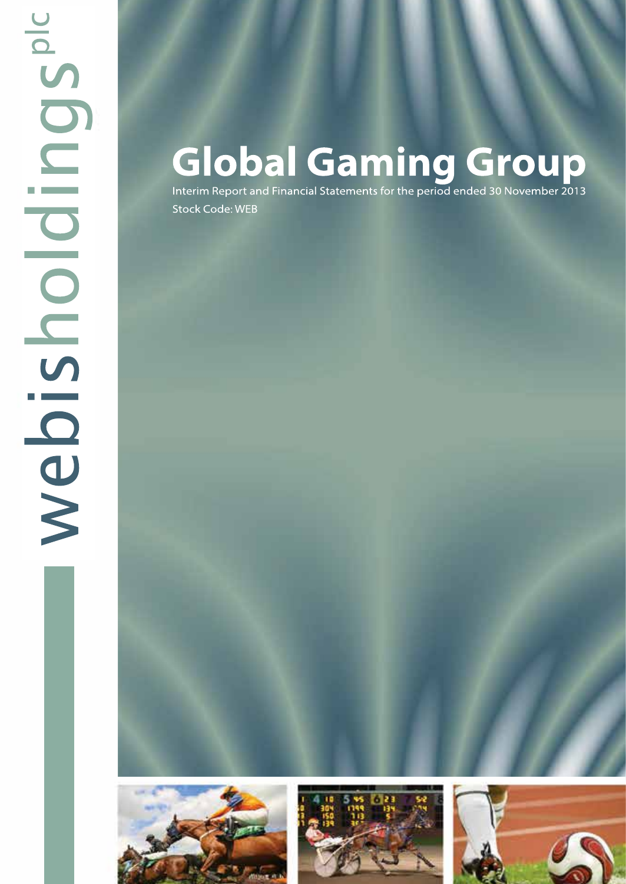# **Global Gaming Group**

Interim Report and Financial Statements for the period ended 30 November 2013 **Stock Code: WEB** 





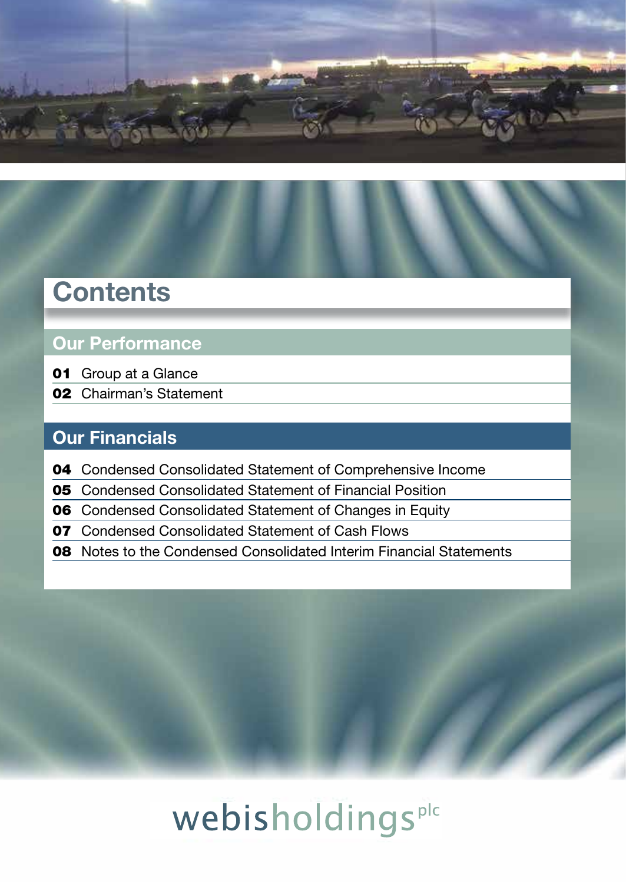

## **Contents**

### Our Performance

- Group at a Glance
- Chairman's Statement

### Our Financials

- Condensed Consolidated Statement of Comprehensive Income
- Condensed Consolidated Statement of Financial Position
- Condensed Consolidated Statement of Changes in Equity
- Condensed Consolidated Statement of Cash Flows
- Notes to the Condensed Consolidated Interim Financial Statements



# webisholdingsplc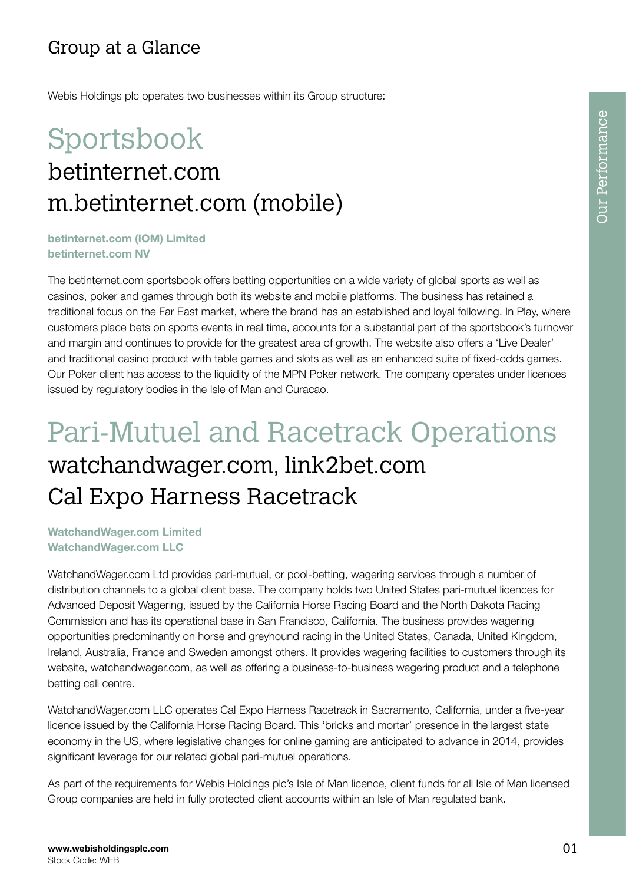### Group at a Glance

Webis Holdings plc operates two businesses within its Group structure:

# Sportsbook betinternet.com m.betinternet.com (mobile)

betinternet.com (IOM) Limited betinternet.com NV

The betinternet.com sportsbook offers betting opportunities on a wide variety of global sports as well as casinos, poker and games through both its website and mobile platforms. The business has retained a traditional focus on the Far East market, where the brand has an established and loyal following. In Play, where customers place bets on sports events in real time, accounts for a substantial part of the sportsbook's turnover and margin and continues to provide for the greatest area of growth. The website also offers a 'Live Dealer' and traditional casino product with table games and slots as well as an enhanced suite of fixed-odds games. Our Poker client has access to the liquidity of the MPN Poker network. The company operates under licences issued by regulatory bodies in the Isle of Man and Curacao.

## Pari-Mutuel and Racetrack Operations watchandwager.com, link2bet.com Cal Expo Harness Racetrack

WatchandWager.com Limited WatchandWager.com LLC

WatchandWager.com Ltd provides pari-mutuel, or pool-betting, wagering services through a number of distribution channels to a global client base. The company holds two United States pari-mutuel licences for Advanced Deposit Wagering, issued by the California Horse Racing Board and the North Dakota Racing Commission and has its operational base in San Francisco, California. The business provides wagering opportunities predominantly on horse and greyhound racing in the United States, Canada, United Kingdom, Ireland, Australia, France and Sweden amongst others. It provides wagering facilities to customers through its website, watchandwager.com, as well as offering a business-to-business wagering product and a telephone betting call centre.

WatchandWager.com LLC operates Cal Expo Harness Racetrack in Sacramento, California, under a five-year licence issued by the California Horse Racing Board. This 'bricks and mortar' presence in the largest state economy in the US, where legislative changes for online gaming are anticipated to advance in 2014, provides significant leverage for our related global pari-mutuel operations.

As part of the requirements for Webis Holdings plc's Isle of Man licence, client funds for all Isle of Man licensed Group companies are held in fully protected client accounts within an Isle of Man regulated bank.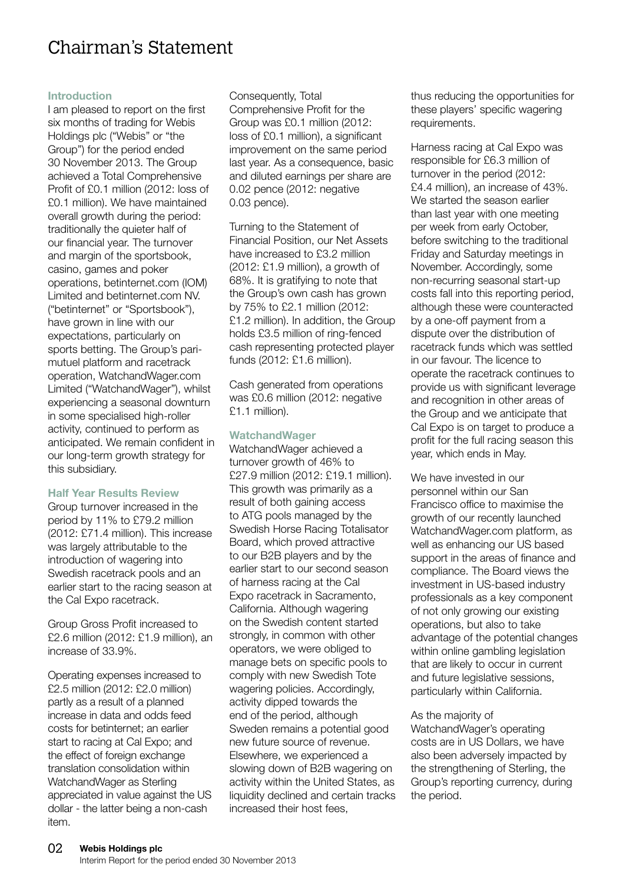### Chairman's Statement

#### Introduction

I am pleased to report on the first six months of trading for Webis Holdings plc ("Webis" or "the Group") for the period ended 30 November 2013. The Group achieved a Total Comprehensive Profit of £0.1 million (2012: loss of £0.1 million). We have maintained overall growth during the period: traditionally the quieter half of our financial year. The turnover and margin of the sportsbook, casino, games and poker operations, betinternet.com (IOM) Limited and betinternet.com NV. ("betinternet" or "Sportsbook"), have grown in line with our expectations, particularly on sports betting. The Group's parimutuel platform and racetrack operation, WatchandWager.com Limited ("WatchandWager"), whilst experiencing a seasonal downturn in some specialised high-roller activity, continued to perform as anticipated. We remain confident in our long-term growth strategy for this subsidiary.

#### Half Year Results Review

Group turnover increased in the period by 11% to £79.2 million (2012: £71.4 million). This increase was largely attributable to the introduction of wagering into Swedish racetrack pools and an earlier start to the racing season at the Cal Expo racetrack.

Group Gross Profit increased to £2.6 million (2012: £1.9 million), an increase of 33.9%.

Operating expenses increased to £2.5 million (2012: £2.0 million) partly as a result of a planned increase in data and odds feed costs for betinternet; an earlier start to racing at Cal Expo; and the effect of foreign exchange translation consolidation within WatchandWager as Sterling appreciated in value against the US dollar - the latter being a non-cash item.

Consequently, Total Comprehensive Profit for the Group was £0.1 million (2012: loss of £0.1 million), a significant improvement on the same period last year. As a consequence, basic and diluted earnings per share are 0.02 pence (2012: negative 0.03 pence).

Turning to the Statement of Financial Position, our Net Assets have increased to £3.2 million (2012: £1.9 million), a growth of 68%. It is gratifying to note that the Group's own cash has grown by 75% to £2.1 million (2012: £1.2 million). In addition, the Group holds £3.5 million of ring-fenced cash representing protected player funds (2012: £1.6 million).

Cash generated from operations was £0.6 million (2012: negative £1.1 million).

#### **WatchandWager**

WatchandWager achieved a turnover growth of 46% to £27.9 million (2012: £19.1 million). This growth was primarily as a result of both gaining access to ATG pools managed by the Swedish Horse Racing Totalisator Board, which proved attractive to our B2B players and by the earlier start to our second season of harness racing at the Cal Expo racetrack in Sacramento, California. Although wagering on the Swedish content started strongly, in common with other operators, we were obliged to manage bets on specific pools to comply with new Swedish Tote wagering policies. Accordingly, activity dipped towards the end of the period, although Sweden remains a potential good new future source of revenue. Elsewhere, we experienced a slowing down of B2B wagering on activity within the United States, as liquidity declined and certain tracks increased their host fees,

thus reducing the opportunities for these players' specific wagering requirements.

Harness racing at Cal Expo was responsible for £6.3 million of turnover in the period (2012: £4.4 million), an increase of 43%. We started the season earlier than last year with one meeting per week from early October, before switching to the traditional Friday and Saturday meetings in November. Accordingly, some non-recurring seasonal start-up costs fall into this reporting period, although these were counteracted by a one-off payment from a dispute over the distribution of racetrack funds which was settled in our favour. The licence to operate the racetrack continues to provide us with significant leverage and recognition in other areas of the Group and we anticipate that Cal Expo is on target to produce a profit for the full racing season this year, which ends in May.

We have invested in our personnel within our San Francisco office to maximise the growth of our recently launched WatchandWager.com platform, as well as enhancing our US based support in the areas of finance and compliance. The Board views the investment in US-based industry professionals as a key component of not only growing our existing operations, but also to take advantage of the potential changes within online gambling legislation that are likely to occur in current and future legislative sessions. particularly within California.

#### As the majority of

WatchandWager's operating costs are in US Dollars, we have also been adversely impacted by the strengthening of Sterling, the Group's reporting currency, during the period.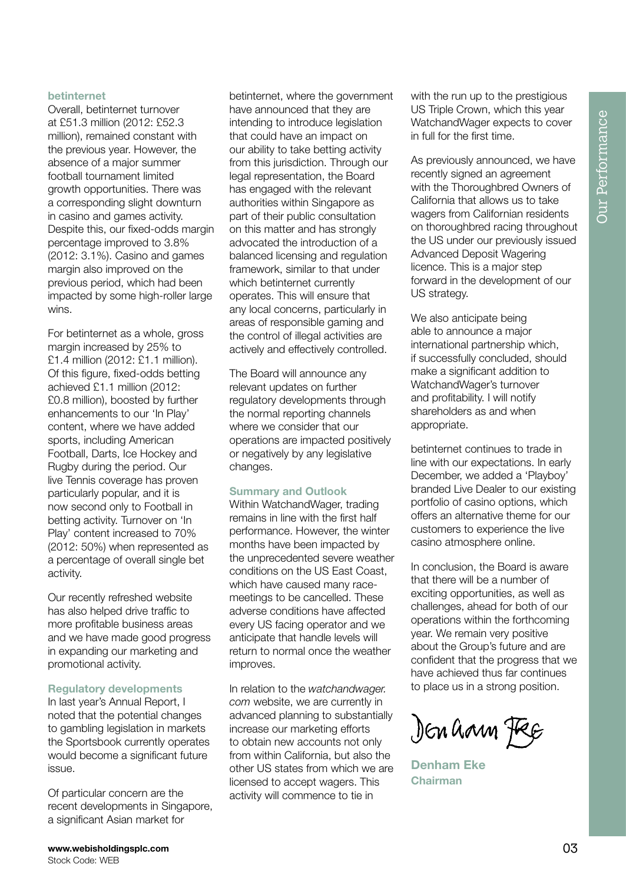#### betinternet

Overall, betinternet turnover at £51.3 million (2012: £52.3 million), remained constant with the previous year. However, the absence of a major summer football tournament limited growth opportunities. There was a corresponding slight downturn in casino and games activity. Despite this, our fixed-odds margin percentage improved to 3.8% (2012: 3.1%). Casino and games margin also improved on the previous period, which had been impacted by some high-roller large wins.

For betinternet as a whole, gross margin increased by 25% to £1.4 million (2012: £1.1 million). Of this figure, fixed-odds betting achieved £1.1 million (2012: £0.8 million), boosted by further enhancements to our 'In Play' content, where we have added sports, including American Football, Darts, Ice Hockey and Rugby during the period. Our live Tennis coverage has proven particularly popular, and it is now second only to Football in betting activity. Turnover on 'In Play' content increased to 70% (2012: 50%) when represented as a percentage of overall single bet activity.

Our recently refreshed website has also helped drive traffic to more profitable business areas and we have made good progress in expanding our marketing and promotional activity.

#### Regulatory developments

In last year's Annual Report, I noted that the potential changes to gambling legislation in markets the Sportsbook currently operates would become a significant future issue.

Of particular concern are the recent developments in Singapore, a significant Asian market for

betinternet, where the government have announced that they are intending to introduce legislation that could have an impact on our ability to take betting activity from this jurisdiction. Through our legal representation, the Board has engaged with the relevant authorities within Singapore as part of their public consultation on this matter and has strongly advocated the introduction of a balanced licensing and regulation framework, similar to that under which betinternet currently operates. This will ensure that any local concerns, particularly in areas of responsible gaming and the control of illegal activities are actively and effectively controlled.

The Board will announce any relevant updates on further regulatory developments through the normal reporting channels where we consider that our operations are impacted positively or negatively by any legislative changes.

#### Summary and Outlook

Within WatchandWager, trading remains in line with the first half performance. However, the winter months have been impacted by the unprecedented severe weather conditions on the US East Coast, which have caused many racemeetings to be cancelled. These adverse conditions have affected every US facing operator and we anticipate that handle levels will return to normal once the weather improves.

In relation to the *watchandwager. com* website, we are currently in advanced planning to substantially increase our marketing efforts to obtain new accounts not only from within California, but also the other US states from which we are licensed to accept wagers. This activity will commence to tie in

with the run up to the prestigious US Triple Crown, which this year WatchandWager expects to cover in full for the first time.

As previously announced, we have recently signed an agreement with the Thoroughbred Owners of California that allows us to take wagers from Californian residents on thoroughbred racing throughout the US under our previously issued Advanced Deposit Wagering licence. This is a major step forward in the development of our US strategy.

We also anticipate being able to announce a major international partnership which, if successfully concluded, should make a significant addition to WatchandWager's turnover and profitability. I will notify shareholders as and when appropriate.

betinternet continues to trade in line with our expectations. In early December, we added a 'Playboy' branded Live Dealer to our existing portfolio of casino options, which offers an alternative theme for our customers to experience the live casino atmosphere online.

In conclusion, the Board is aware that there will be a number of exciting opportunities, as well as challenges, ahead for both of our operations within the forthcoming year. We remain very positive about the Group's future and are confident that the progress that we have achieved thus far continues to place us in a strong position.

Den hann Fee

Denham Eke Chairman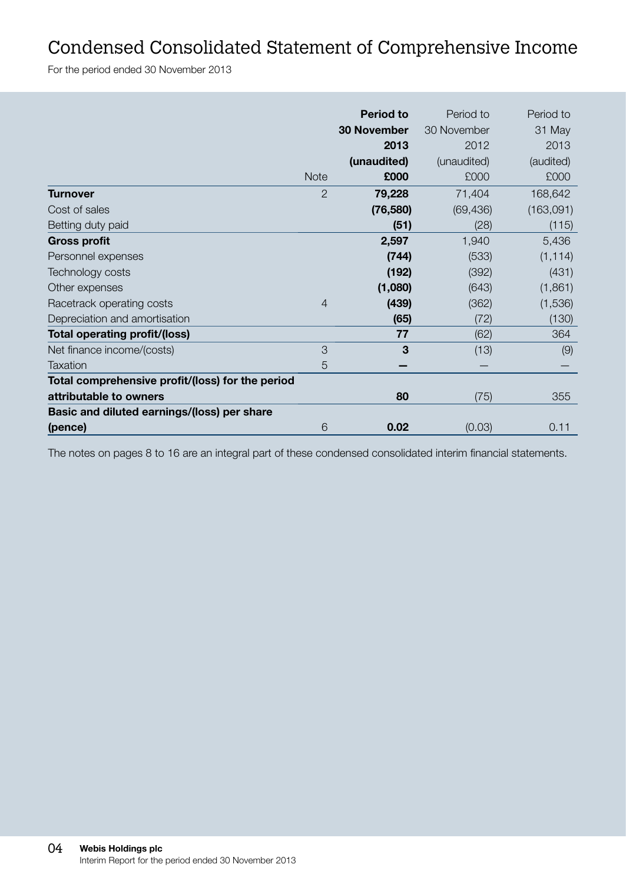### Condensed Consolidated Statement of Comprehensive Income

For the period ended 30 November 2013

|                                                  |                | <b>Period to</b>   | Period to   | Period to |
|--------------------------------------------------|----------------|--------------------|-------------|-----------|
|                                                  |                | <b>30 November</b> | 30 November | 31 May    |
|                                                  |                | 2013               | 2012        | 2013      |
|                                                  |                | (unaudited)        | (unaudited) | (audited) |
|                                                  | <b>Note</b>    | £000               | £000        | £000      |
| <b>Turnover</b>                                  | $\mathcal{P}$  | 79,228             | 71,404      | 168,642   |
| Cost of sales                                    |                | (76, 580)          | (69, 436)   | (163,091) |
| Betting duty paid                                |                | (51)               | (28)        | (115)     |
| <b>Gross profit</b>                              |                | 2,597              | 1,940       | 5,436     |
| Personnel expenses                               |                | (744)              | (533)       | (1, 114)  |
| Technology costs                                 |                | (192)              | (392)       | (431)     |
| Other expenses                                   |                | (1,080)            | (643)       | (1,861)   |
| Racetrack operating costs                        | $\overline{4}$ | (439)              | (362)       | (1,536)   |
| Depreciation and amortisation                    |                | (65)               | (72)        | (130)     |
| Total operating profit/(loss)                    |                | 77                 | (62)        | 364       |
| Net finance income/(costs)                       | 3              | 3                  | (13)        | (9)       |
| Taxation                                         | 5              |                    |             |           |
| Total comprehensive profit/(loss) for the period |                |                    |             |           |
| attributable to owners                           |                | 80                 | (75)        | 355       |
| Basic and diluted earnings/(loss) per share      |                |                    |             |           |
| (pence)                                          | 6              | 0.02               | (0.03)      | 0.11      |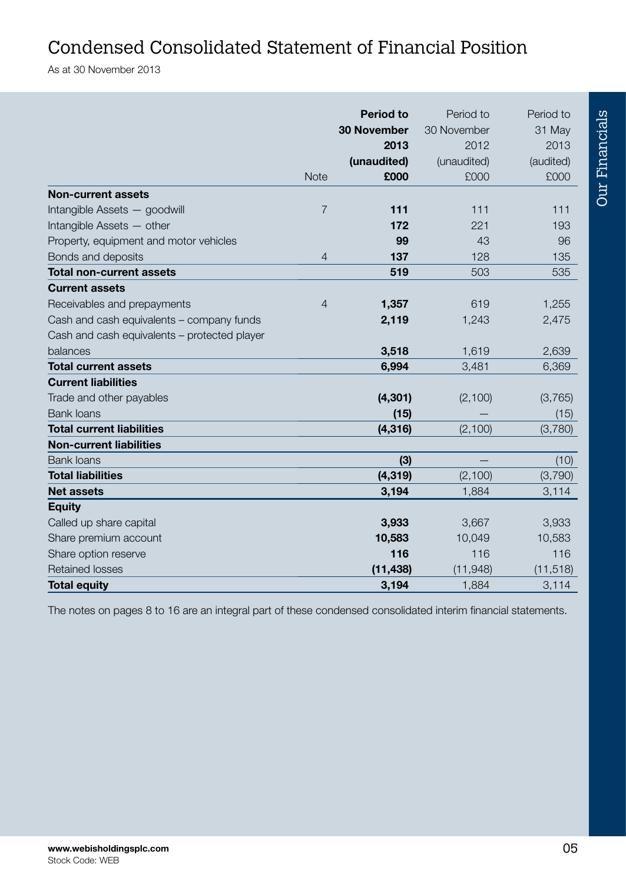### Condensed Consolidated Statement of Financial Position

As at 30 November 2013

|                                              |                | <b>Period to</b><br><b>30 November</b> | Period to<br>30 November | Period to<br>31 May |
|----------------------------------------------|----------------|----------------------------------------|--------------------------|---------------------|
|                                              |                | 2013                                   | 2012                     | 2013                |
|                                              |                | (unaudited)                            | (unaudited)              | (audited)           |
|                                              | <b>Note</b>    | £000                                   | £000                     | £000                |
| <b>Non-current assets</b>                    |                |                                        |                          |                     |
| Intangible Assets - goodwill                 | $\overline{7}$ | 111                                    | 111                      | 111                 |
| Intangible Assets - other                    |                | 172                                    | 221                      | 193                 |
| Property, equipment and motor vehicles       |                | 99                                     | 43                       | 96                  |
| Bonds and deposits                           | $\overline{4}$ | 137                                    | 128                      | 135                 |
| <b>Total non-current assets</b>              |                | 519                                    | 503                      | 535                 |
| <b>Current assets</b>                        |                |                                        |                          |                     |
| Receivables and prepayments                  | $\overline{4}$ | 1,357                                  | 619                      | 1,255               |
| Cash and cash equivalents - company funds    |                | 2,119                                  | 1,243                    | 2,475               |
| Cash and cash equivalents - protected player |                |                                        |                          |                     |
| balances                                     |                | 3,518                                  | 1,619                    | 2,639               |
| <b>Total current assets</b>                  |                | 6,994                                  | 3,481                    | 6,369               |
| <b>Current liabilities</b>                   |                |                                        |                          |                     |
| Trade and other payables                     |                | (4, 301)                               | (2,100)                  | (3,765)             |
| <b>Bank loans</b>                            |                | (15)                                   |                          | (15)                |
| <b>Total current liabilities</b>             |                | (4, 316)                               | (2, 100)                 | (3,780)             |
| <b>Non-current liabilities</b>               |                |                                        |                          |                     |
| <b>Bank loans</b>                            |                | (3)                                    |                          | (10)                |
| <b>Total liabilities</b>                     |                | (4, 319)                               | (2,100)                  | (3,790)             |
| <b>Net assets</b>                            |                | 3,194                                  | 1,884                    | 3,114               |
| <b>Equity</b>                                |                |                                        |                          |                     |
| Called up share capital                      |                | 3,933                                  | 3,667                    | 3,933               |
| Share premium account                        |                | 10,583                                 | 10,049                   | 10,583              |
| Share option reserve                         |                | 116                                    | 116                      | 116                 |
| <b>Retained losses</b>                       |                | (11, 438)                              | (11, 948)                | (11, 518)           |
| <b>Total equity</b>                          |                | 3,194                                  | 1,884                    | 3,114               |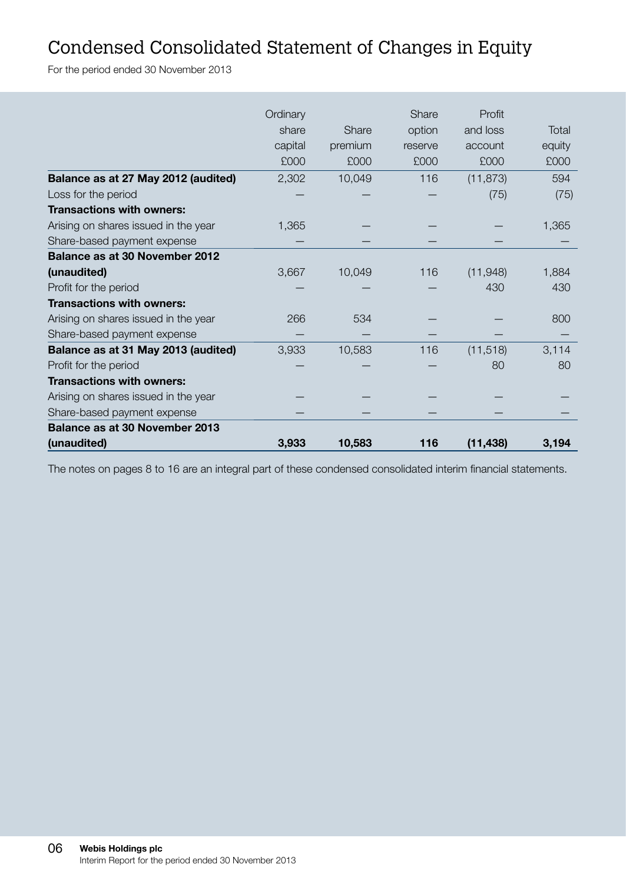### Condensed Consolidated Statement of Changes in Equity

For the period ended 30 November 2013

|                                      | Ordinary |         | Share   | Profit    |        |
|--------------------------------------|----------|---------|---------|-----------|--------|
|                                      | share    | Share   | option  | and loss  | Total  |
|                                      | capital  | premium | reserve | account   | equity |
|                                      | £000     | £000    | £000    | £000      | £000   |
| Balance as at 27 May 2012 (audited)  | 2,302    | 10,049  | 116     | (11, 873) | 594    |
| Loss for the period                  |          |         |         | (75)      | (75)   |
| <b>Transactions with owners:</b>     |          |         |         |           |        |
| Arising on shares issued in the year | 1.365    |         |         |           | 1,365  |
| Share-based payment expense          |          |         |         |           |        |
| Balance as at 30 November 2012       |          |         |         |           |        |
| (unaudited)                          | 3,667    | 10,049  | 116     | (11, 948) | 1,884  |
| Profit for the period                |          |         |         | 430       | 430    |
| <b>Transactions with owners:</b>     |          |         |         |           |        |
| Arising on shares issued in the year | 266      | 534     |         |           | 800    |
| Share-based payment expense          |          |         |         |           |        |
| Balance as at 31 May 2013 (audited)  | 3,933    | 10,583  | 116     | (11, 518) | 3,114  |
| Profit for the period                |          |         |         | 80        | 80     |
| <b>Transactions with owners:</b>     |          |         |         |           |        |
| Arising on shares issued in the year |          |         |         |           |        |
| Share-based payment expense          |          |         |         |           |        |
| Balance as at 30 November 2013       |          |         |         |           |        |
| (unaudited)                          | 3,933    | 10,583  | 116     | (11, 438) | 3,194  |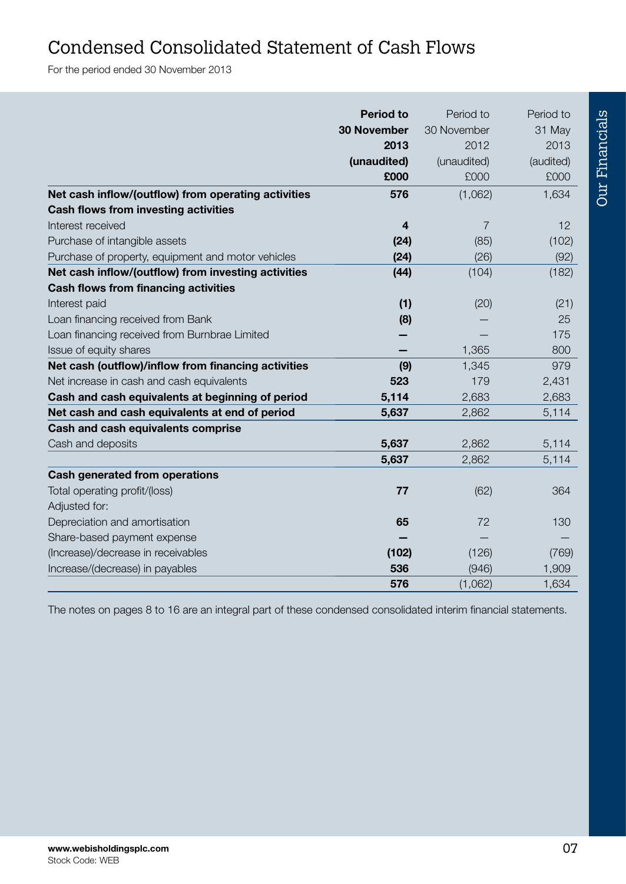### Condensed Consolidated Statement of Cash Flows

For the period ended 30 November 2013

|                                                     | <b>Period to</b>   | Period to      | Period to |
|-----------------------------------------------------|--------------------|----------------|-----------|
|                                                     | <b>30 November</b> | 30 November    | 31 May    |
|                                                     | 2013               | 2012           | 2013      |
|                                                     | (unaudited)        | (unaudited)    | (audited) |
|                                                     | £000               | £000           | £000      |
| Net cash inflow/(outflow) from operating activities | 576                | (1,062)        | 1,634     |
| Cash flows from investing activities                |                    |                |           |
| Interest received                                   | 4                  | $\overline{7}$ | 12        |
| Purchase of intangible assets                       | (24)               | (85)           | (102)     |
| Purchase of property, equipment and motor vehicles  | (24)               | (26)           | (92)      |
| Net cash inflow/(outflow) from investing activities | (44)               | (104)          | (182)     |
| Cash flows from financing activities                |                    |                |           |
| Interest paid                                       | (1)                | (20)           | (21)      |
| Loan financing received from Bank                   | (8)                |                | 25        |
| Loan financing received from Burnbrae Limited       |                    |                | 175       |
| Issue of equity shares                              |                    | 1,365          | 800       |
| Net cash (outflow)/inflow from financing activities | (9)                | 1,345          | 979       |
| Net increase in cash and cash equivalents           | 523                | 179            | 2,431     |
| Cash and cash equivalents at beginning of period    | 5,114              | 2,683          | 2,683     |
| Net cash and cash equivalents at end of period      | 5,637              | 2,862          | 5,114     |
| Cash and cash equivalents comprise                  |                    |                |           |
| Cash and deposits                                   | 5,637              | 2,862          | 5,114     |
|                                                     | 5,637              | 2,862          | 5,114     |
| Cash generated from operations                      |                    |                |           |
| Total operating profit/(loss)                       | 77                 | (62)           | 364       |
| Adjusted for:                                       |                    |                |           |
| Depreciation and amortisation                       | 65                 | 72             | 130       |
| Share-based payment expense                         |                    |                |           |
| (Increase)/decrease in receivables                  | (102)              | (126)          | (769)     |
| Increase/(decrease) in payables                     | 536                | (946)          | 1,909     |
|                                                     | 576                | (1,062)        | 1,634     |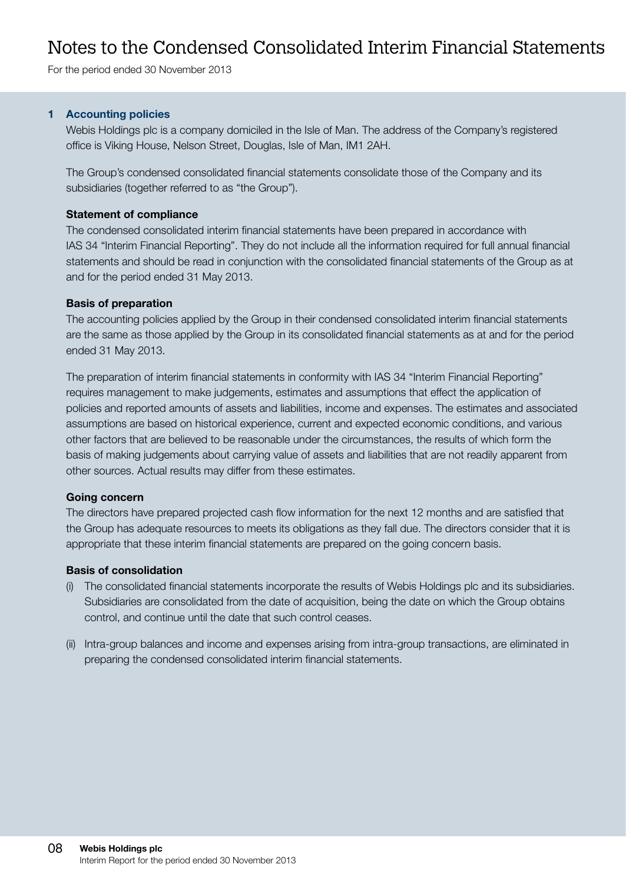### Notes to the Condensed Consolidated Interim Financial Statements

For the period ended 30 November 2013

#### 1 Accounting policies

Webis Holdings plc is a company domiciled in the Isle of Man. The address of the Company's registered office is Viking House, Nelson Street, Douglas, Isle of Man, IM1 2AH.

The Group's condensed consolidated financial statements consolidate those of the Company and its subsidiaries (together referred to as "the Group").

#### Statement of compliance

The condensed consolidated interim financial statements have been prepared in accordance with IAS 34 "Interim Financial Reporting". They do not include all the information required for full annual financial statements and should be read in conjunction with the consolidated financial statements of the Group as at and for the period ended 31 May 2013.

#### Basis of preparation

The accounting policies applied by the Group in their condensed consolidated interim financial statements are the same as those applied by the Group in its consolidated financial statements as at and for the period ended 31 May 2013.

The preparation of interim financial statements in conformity with IAS 34 "Interim Financial Reporting" requires management to make judgements, estimates and assumptions that effect the application of policies and reported amounts of assets and liabilities, income and expenses. The estimates and associated assumptions are based on historical experience, current and expected economic conditions, and various other factors that are believed to be reasonable under the circumstances, the results of which form the basis of making judgements about carrying value of assets and liabilities that are not readily apparent from other sources. Actual results may differ from these estimates.

#### Going concern

The directors have prepared projected cash flow information for the next 12 months and are satisfied that the Group has adequate resources to meets its obligations as they fall due. The directors consider that it is appropriate that these interim financial statements are prepared on the going concern basis.

#### Basis of consolidation

- (i) The consolidated financial statements incorporate the results of Webis Holdings plc and its subsidiaries. Subsidiaries are consolidated from the date of acquisition, being the date on which the Group obtains control, and continue until the date that such control ceases.
- (ii) Intra-group balances and income and expenses arising from intra-group transactions, are eliminated in preparing the condensed consolidated interim financial statements.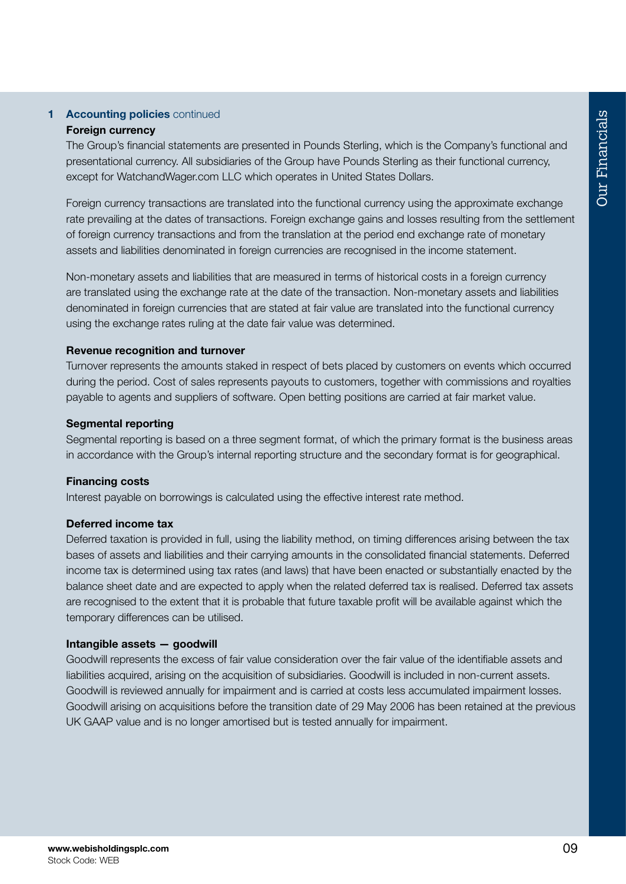#### 1 Accounting policies continued Foreign currency

The Group's financial statements are presented in Pounds Sterling, which is the Company's functional and presentational currency. All subsidiaries of the Group have Pounds Sterling as their functional currency, except for WatchandWager.com LLC which operates in United States Dollars.

Foreign currency transactions are translated into the functional currency using the approximate exchange rate prevailing at the dates of transactions. Foreign exchange gains and losses resulting from the settlement of foreign currency transactions and from the translation at the period end exchange rate of monetary assets and liabilities denominated in foreign currencies are recognised in the income statement.

Non-monetary assets and liabilities that are measured in terms of historical costs in a foreign currency are translated using the exchange rate at the date of the transaction. Non-monetary assets and liabilities denominated in foreign currencies that are stated at fair value are translated into the functional currency using the exchange rates ruling at the date fair value was determined.

#### Revenue recognition and turnover

Turnover represents the amounts staked in respect of bets placed by customers on events which occurred during the period. Cost of sales represents payouts to customers, together with commissions and royalties payable to agents and suppliers of software. Open betting positions are carried at fair market value.

#### Segmental reporting

Segmental reporting is based on a three segment format, of which the primary format is the business areas in accordance with the Group's internal reporting structure and the secondary format is for geographical.

#### Financing costs

Interest payable on borrowings is calculated using the effective interest rate method.

#### Deferred income tax

Deferred taxation is provided in full, using the liability method, on timing differences arising between the tax bases of assets and liabilities and their carrying amounts in the consolidated financial statements. Deferred income tax is determined using tax rates (and laws) that have been enacted or substantially enacted by the balance sheet date and are expected to apply when the related deferred tax is realised. Deferred tax assets are recognised to the extent that it is probable that future taxable profit will be available against which the temporary differences can be utilised.

#### Intangible assets — goodwill

Goodwill represents the excess of fair value consideration over the fair value of the identifiable assets and liabilities acquired, arising on the acquisition of subsidiaries. Goodwill is included in non-current assets. Goodwill is reviewed annually for impairment and is carried at costs less accumulated impairment losses. Goodwill arising on acquisitions before the transition date of 29 May 2006 has been retained at the previous UK GAAP value and is no longer amortised but is tested annually for impairment.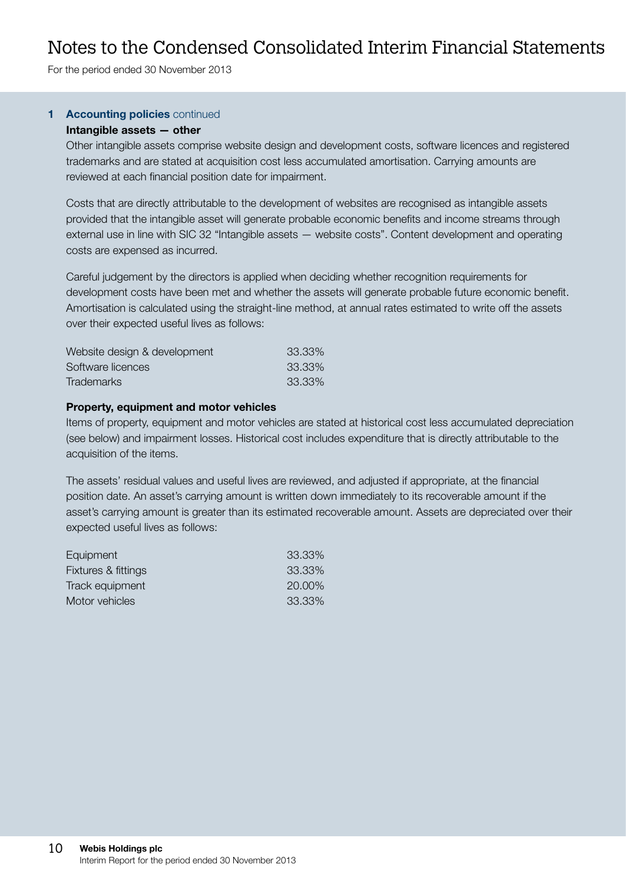### Notes to the Condensed Consolidated Interim Financial Statements

For the period ended 30 November 2013

#### 1 Accounting policies continued

#### Intangible assets — other

Other intangible assets comprise website design and development costs, software licences and registered trademarks and are stated at acquisition cost less accumulated amortisation. Carrying amounts are reviewed at each financial position date for impairment.

Costs that are directly attributable to the development of websites are recognised as intangible assets provided that the intangible asset will generate probable economic benefits and income streams through external use in line with SIC 32 "Intangible assets — website costs". Content development and operating costs are expensed as incurred.

Careful judgement by the directors is applied when deciding whether recognition requirements for development costs have been met and whether the assets will generate probable future economic benefit. Amortisation is calculated using the straight-line method, at annual rates estimated to write off the assets over their expected useful lives as follows:

| Website design & development | 33.33% |
|------------------------------|--------|
| Software licences            | 33.33% |
| <b>Trademarks</b>            | 33.33% |

#### Property, equipment and motor vehicles

Items of property, equipment and motor vehicles are stated at historical cost less accumulated depreciation (see below) and impairment losses. Historical cost includes expenditure that is directly attributable to the acquisition of the items.

The assets' residual values and useful lives are reviewed, and adjusted if appropriate, at the financial position date. An asset's carrying amount is written down immediately to its recoverable amount if the asset's carrying amount is greater than its estimated recoverable amount. Assets are depreciated over their expected useful lives as follows:

| Equipment           | 33.33% |
|---------------------|--------|
| Fixtures & fittings | 33.33% |
| Track equipment     | 20,00% |
| Motor vehicles      | 33.33% |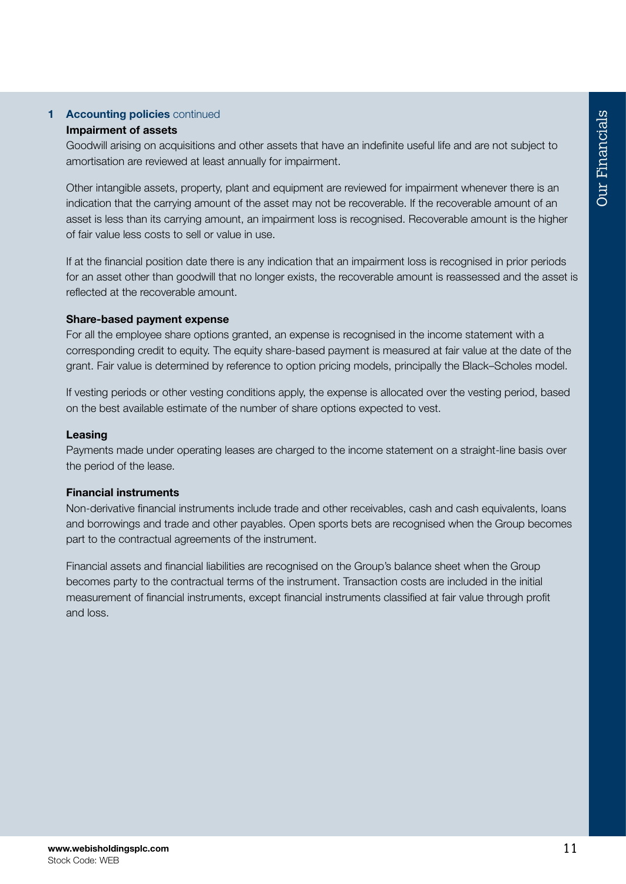### 1 Accounting policies continued

#### Impairment of assets

Goodwill arising on acquisitions and other assets that have an indefinite useful life and are not subject to amortisation are reviewed at least annually for impairment.

Other intangible assets, property, plant and equipment are reviewed for impairment whenever there is an indication that the carrying amount of the asset may not be recoverable. If the recoverable amount of an asset is less than its carrying amount, an impairment loss is recognised. Recoverable amount is the higher of fair value less costs to sell or value in use.

If at the financial position date there is any indication that an impairment loss is recognised in prior periods for an asset other than goodwill that no longer exists, the recoverable amount is reassessed and the asset is reflected at the recoverable amount.

#### Share-based payment expense

For all the employee share options granted, an expense is recognised in the income statement with a corresponding credit to equity. The equity share-based payment is measured at fair value at the date of the grant. Fair value is determined by reference to option pricing models, principally the Black–Scholes model.

If vesting periods or other vesting conditions apply, the expense is allocated over the vesting period, based on the best available estimate of the number of share options expected to vest.

#### Leasing

Payments made under operating leases are charged to the income statement on a straight-line basis over the period of the lease.

#### Financial instruments

Non-derivative financial instruments include trade and other receivables, cash and cash equivalents, loans and borrowings and trade and other payables. Open sports bets are recognised when the Group becomes part to the contractual agreements of the instrument.

Financial assets and financial liabilities are recognised on the Group's balance sheet when the Group becomes party to the contractual terms of the instrument. Transaction costs are included in the initial measurement of financial instruments, except financial instruments classified at fair value through profit and loss.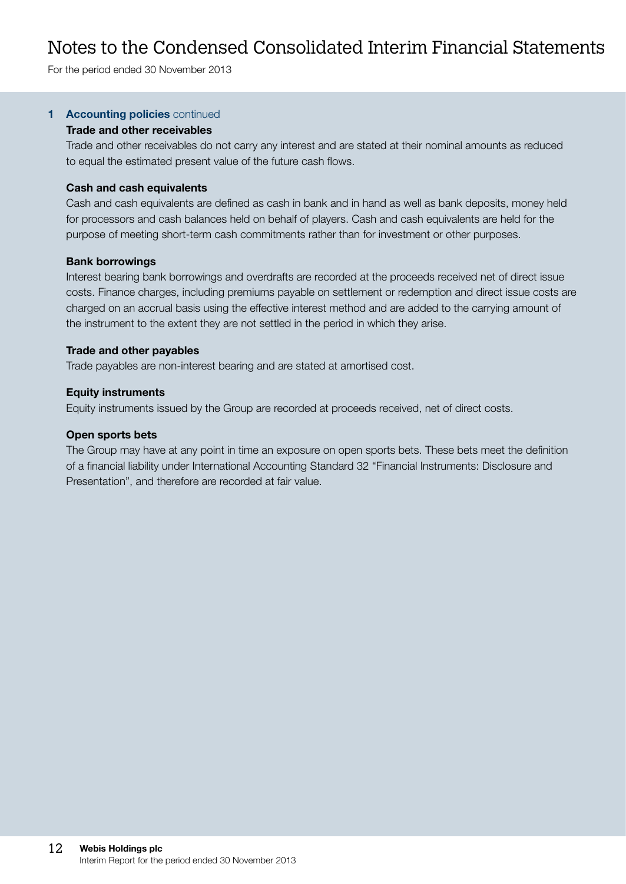### Notes to the Condensed Consolidated Interim Financial Statements

For the period ended 30 November 2013

#### 1 Accounting policies continued

#### Trade and other receivables

Trade and other receivables do not carry any interest and are stated at their nominal amounts as reduced to equal the estimated present value of the future cash flows.

#### Cash and cash equivalents

Cash and cash equivalents are defined as cash in bank and in hand as well as bank deposits, money held for processors and cash balances held on behalf of players. Cash and cash equivalents are held for the purpose of meeting short-term cash commitments rather than for investment or other purposes.

#### Bank borrowings

Interest bearing bank borrowings and overdrafts are recorded at the proceeds received net of direct issue costs. Finance charges, including premiums payable on settlement or redemption and direct issue costs are charged on an accrual basis using the effective interest method and are added to the carrying amount of the instrument to the extent they are not settled in the period in which they arise.

#### Trade and other payables

Trade payables are non-interest bearing and are stated at amortised cost.

#### Equity instruments

Equity instruments issued by the Group are recorded at proceeds received, net of direct costs.

#### Open sports bets

The Group may have at any point in time an exposure on open sports bets. These bets meet the definition of a financial liability under International Accounting Standard 32 "Financial Instruments: Disclosure and Presentation", and therefore are recorded at fair value.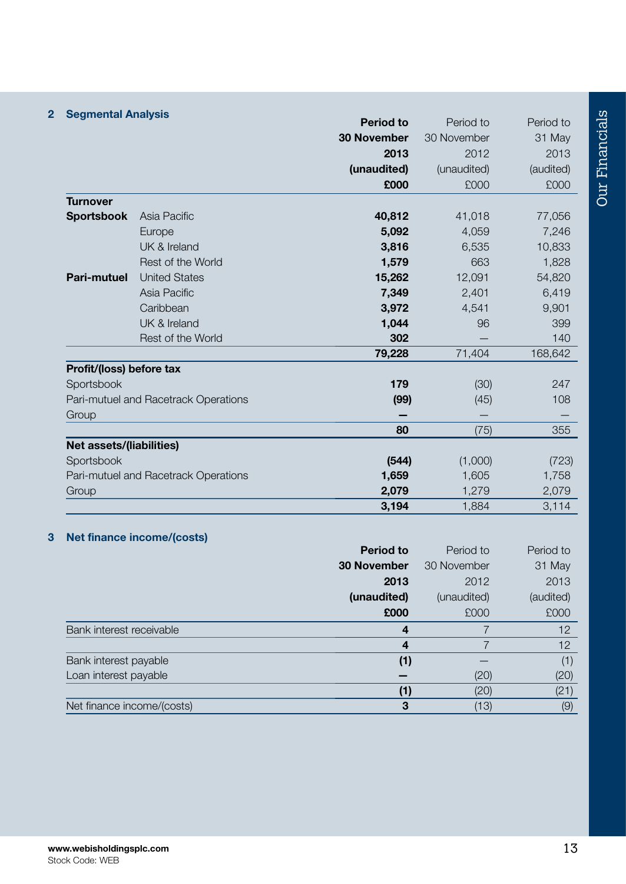| <b>Segmental Analysis</b> |                                      |                    |             |           |
|---------------------------|--------------------------------------|--------------------|-------------|-----------|
|                           |                                      | <b>Period to</b>   | Period to   | Period to |
|                           |                                      | <b>30 November</b> | 30 November | 31 May    |
|                           |                                      | 2013               | 2012        | 2013      |
|                           |                                      | (unaudited)        | (unaudited) | (audited) |
|                           |                                      | £000               | £000        | £000      |
| <b>Turnover</b>           |                                      |                    |             |           |
| <b>Sportsbook</b>         | Asia Pacific                         | 40,812             | 41,018      | 77,056    |
|                           | Europe                               | 5.092              | 4,059       | 7,246     |
|                           | UK & Ireland                         | 3,816              | 6,535       | 10,833    |
|                           | Rest of the World                    | 1,579              | 663         | 1,828     |
| Pari-mutuel               | <b>United States</b>                 | 15,262             | 12,091      | 54,820    |
|                           | Asia Pacific                         | 7,349              | 2,401       | 6,419     |
|                           | Caribbean                            | 3,972              | 4,541       | 9,901     |
|                           | UK & Ireland                         | 1,044              | 96          | 399       |
|                           | Rest of the World                    | 302                |             | 140       |
|                           |                                      | 79,228             | 71,404      | 168,642   |
| Profit/(loss) before tax  |                                      |                    |             |           |
| Sportsbook                |                                      | 179                | (30)        | 247       |
|                           | Pari-mutuel and Racetrack Operations | (99)               | (45)        | 108       |
| Group                     |                                      |                    |             |           |
|                           |                                      | 80                 | (75)        | 355       |
| Net assets/(liabilities)  |                                      |                    |             |           |
| Sportsbook                |                                      | (544)              | (1,000)     | (723)     |
|                           | Pari-mutuel and Racetrack Operations | 1,659              | 1,605       | 1,758     |
| Group                     |                                      | 2,079              | 1,279       | 2,079     |
|                           |                                      | 3,194              | 1,884       | 3,114     |

#### 3 Net finance income/(costs)

|                            | <b>Period to</b>   | Period to   | Period to |
|----------------------------|--------------------|-------------|-----------|
|                            | <b>30 November</b> | 30 November | 31 May    |
|                            | 2013               | 2012        | 2013      |
|                            | (unaudited)        | (unaudited) | (audited) |
|                            | £000               | £000        | £000      |
| Bank interest receivable   | 4                  |             | 12        |
|                            | 4                  |             | 12        |
| Bank interest payable      | (1)                |             | (1)       |
| Loan interest payable      |                    | (20)        | (20)      |
|                            | (1)                | (20)        | (21)      |
| Net finance income/(costs) | З                  | (13)        | (9)       |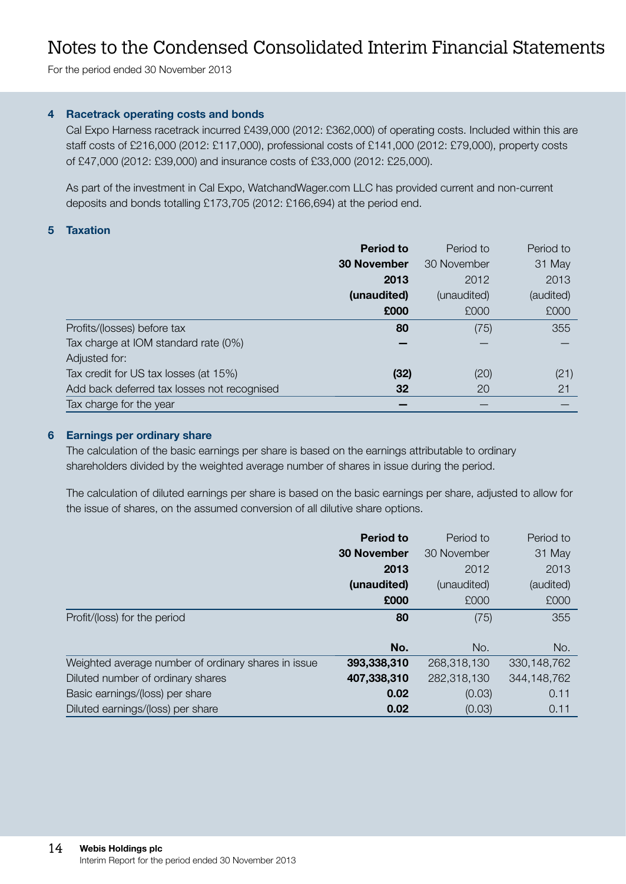For the period ended 30 November 2013

#### 4 Racetrack operating costs and bonds

Cal Expo Harness racetrack incurred £439,000 (2012: £362,000) of operating costs. Included within this are staff costs of £216,000 (2012: £117,000), professional costs of £141,000 (2012: £79,000), property costs of £47,000 (2012: £39,000) and insurance costs of £33,000 (2012: £25,000).

As part of the investment in Cal Expo, WatchandWager.com LLC has provided current and non-current deposits and bonds totalling £173,705 (2012: £166,694) at the period end.

#### 5 Taxation

|                                             | <b>Period to</b>   | Period to   | Period to |
|---------------------------------------------|--------------------|-------------|-----------|
|                                             | <b>30 November</b> | 30 November | 31 May    |
|                                             | 2013               | 2012        | 2013      |
|                                             | (unaudited)        | (unaudited) | (audited) |
|                                             | £000               | £000        | £000      |
| Profits/(losses) before tax                 | 80                 | (75)        | 355       |
| Tax charge at IOM standard rate (0%)        |                    |             |           |
| Adjusted for:                               |                    |             |           |
| Tax credit for US tax losses (at 15%)       | (32)               | (20)        | (21)      |
| Add back deferred tax losses not recognised | 32                 | 20          | 21        |
| Tax charge for the year                     |                    |             |           |

#### 6 Earnings per ordinary share

The calculation of the basic earnings per share is based on the earnings attributable to ordinary shareholders divided by the weighted average number of shares in issue during the period.

The calculation of diluted earnings per share is based on the basic earnings per share, adjusted to allow for the issue of shares, on the assumed conversion of all dilutive share options.

|                                                     | <b>Period to</b>   | Period to   | Period to     |
|-----------------------------------------------------|--------------------|-------------|---------------|
|                                                     | <b>30 November</b> | 30 November | 31 May        |
|                                                     | 2013               | 2012        | 2013          |
|                                                     | (unaudited)        | (unaudited) | (audited)     |
|                                                     | £000               | £000        | £000          |
| Profit/(loss) for the period                        | 80                 | (75)        | 355           |
|                                                     |                    |             |               |
|                                                     | No.                | No.         | No.           |
| Weighted average number of ordinary shares in issue | 393,338,310        | 268,318,130 | 330, 148, 762 |
| Diluted number of ordinary shares                   | 407,338,310        | 282,318,130 | 344,148,762   |
| Basic earnings/(loss) per share                     | 0.02               | (0.03)      | 0.11          |
| Diluted earnings/(loss) per share                   | 0.02               | (0.03)      | 0.11          |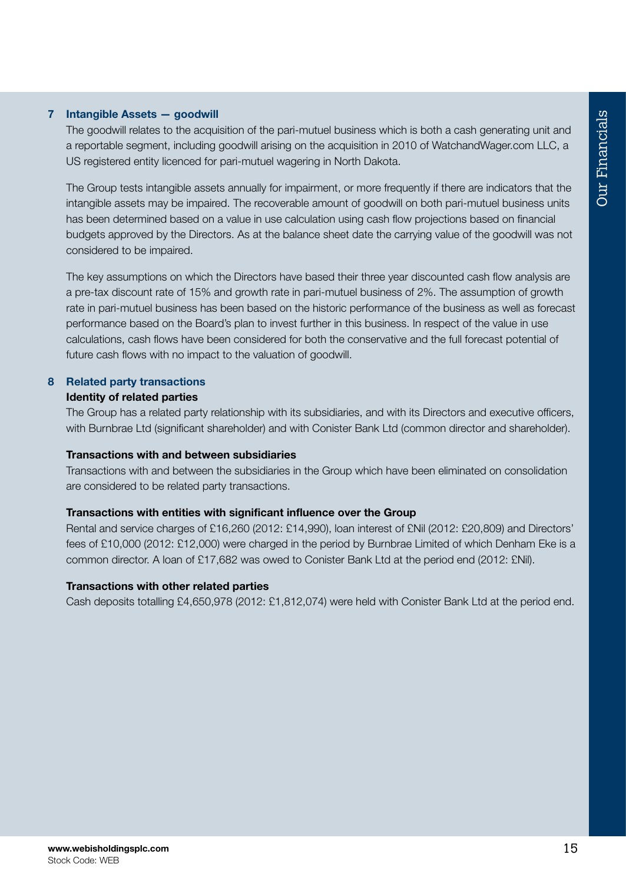#### 7 Intangible Assets — goodwill

The goodwill relates to the acquisition of the pari-mutuel business which is both a cash generating unit and a reportable segment, including goodwill arising on the acquisition in 2010 of WatchandWager.com LLC, a US registered entity licenced for pari-mutuel wagering in North Dakota.

The Group tests intangible assets annually for impairment, or more frequently if there are indicators that the intangible assets may be impaired. The recoverable amount of goodwill on both pari-mutuel business units has been determined based on a value in use calculation using cash flow projections based on financial budgets approved by the Directors. As at the balance sheet date the carrying value of the goodwill was not considered to be impaired.

The key assumptions on which the Directors have based their three year discounted cash flow analysis are a pre-tax discount rate of 15% and growth rate in pari-mutuel business of 2%. The assumption of growth rate in pari-mutuel business has been based on the historic performance of the business as well as forecast performance based on the Board's plan to invest further in this business. In respect of the value in use calculations, cash flows have been considered for both the conservative and the full forecast potential of future cash flows with no impact to the valuation of goodwill.

#### 8 Related party transactions Identity of related parties

The Group has a related party relationship with its subsidiaries, and with its Directors and executive officers, with Burnbrae Ltd (significant shareholder) and with Conister Bank Ltd (common director and shareholder).

#### Transactions with and between subsidiaries

Transactions with and between the subsidiaries in the Group which have been eliminated on consolidation are considered to be related party transactions.

#### Transactions with entities with significant influence over the Group

Rental and service charges of £16,260 (2012: £14,990), loan interest of £Nil (2012: £20,809) and Directors' fees of £10,000 (2012: £12,000) were charged in the period by Burnbrae Limited of which Denham Eke is a common director. A loan of £17,682 was owed to Conister Bank Ltd at the period end (2012: £Nil).

#### Transactions with other related parties

Cash deposits totalling £4,650,978 (2012: £1,812,074) were held with Conister Bank Ltd at the period end.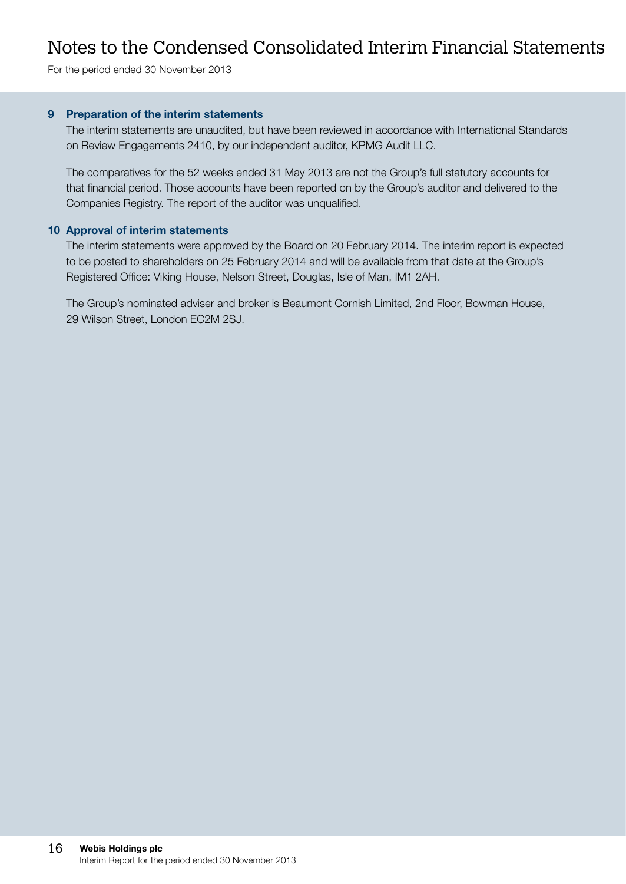For the period ended 30 November 2013

#### 9 Preparation of the interim statements

The interim statements are unaudited, but have been reviewed in accordance with International Standards on Review Engagements 2410, by our independent auditor, KPMG Audit LLC.

The comparatives for the 52 weeks ended 31 May 2013 are not the Group's full statutory accounts for that financial period. Those accounts have been reported on by the Group's auditor and delivered to the Companies Registry. The report of the auditor was unqualified.

#### 10 Approval of interim statements

The interim statements were approved by the Board on 20 February 2014. The interim report is expected to be posted to shareholders on 25 February 2014 and will be available from that date at the Group's Registered Office: Viking House, Nelson Street, Douglas, Isle of Man, IM1 2AH.

The Group's nominated adviser and broker is Beaumont Cornish Limited, 2nd Floor, Bowman House, 29 Wilson Street, London EC2M 2SJ.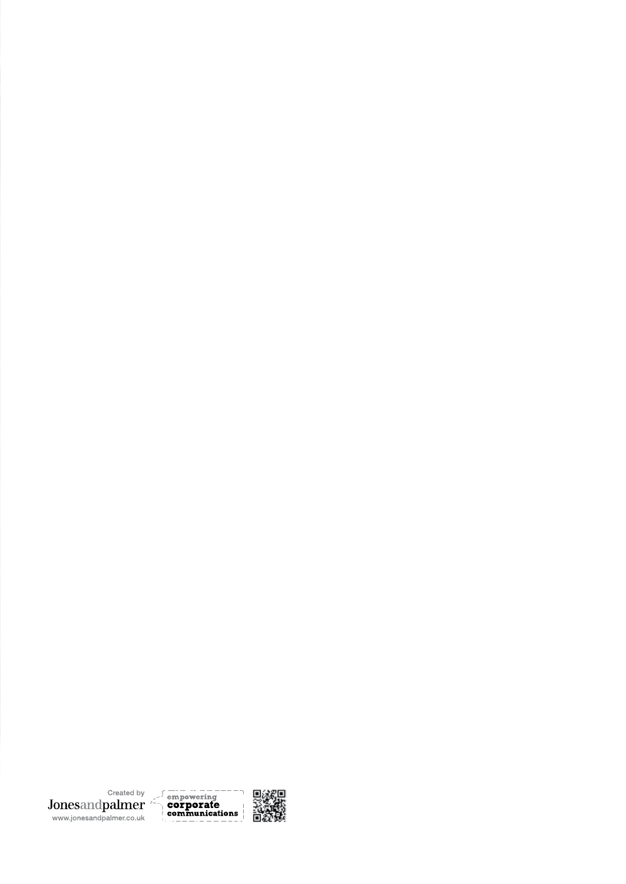